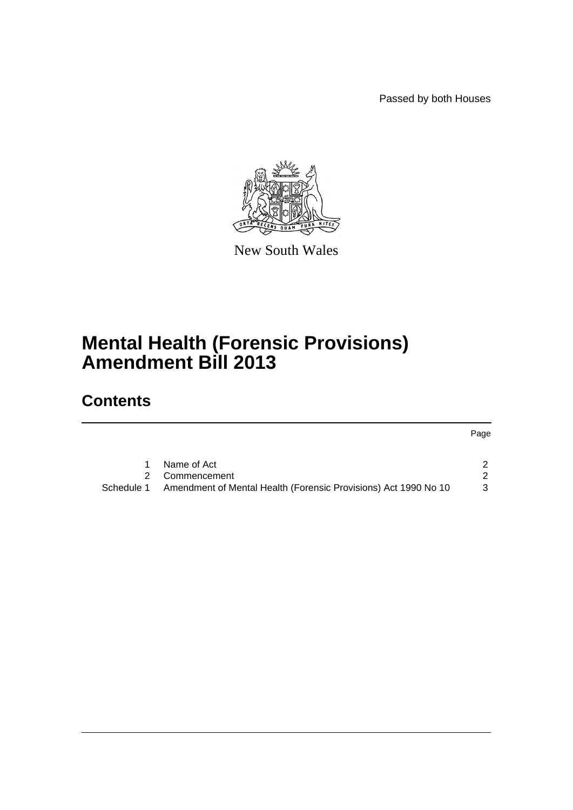Passed by both Houses



New South Wales

# **Mental Health (Forensic Provisions) Amendment Bill 2013**

## **Contents**

## Page

|            | Name of Act                                                     |  |
|------------|-----------------------------------------------------------------|--|
|            | 2 Commencement                                                  |  |
| Schedule 1 | Amendment of Mental Health (Forensic Provisions) Act 1990 No 10 |  |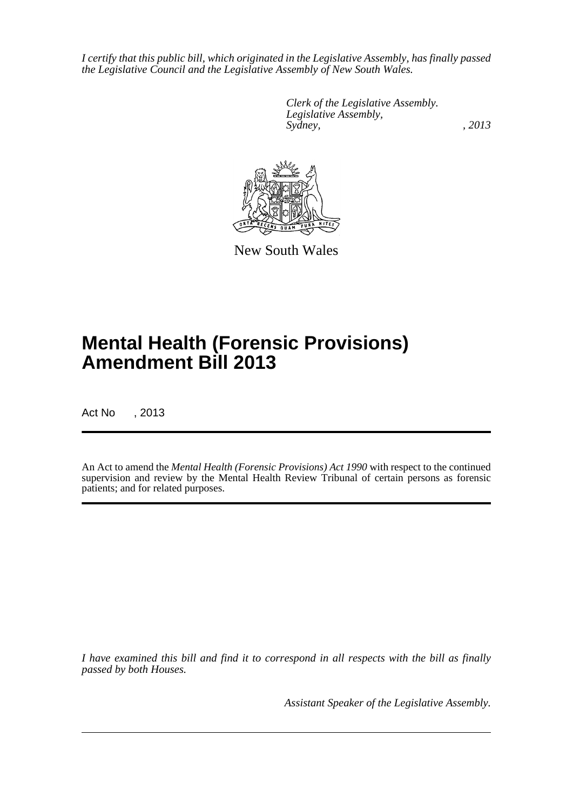*I certify that this public bill, which originated in the Legislative Assembly, has finally passed the Legislative Council and the Legislative Assembly of New South Wales.*

> *Clerk of the Legislative Assembly. Legislative Assembly, Sydney, , 2013*



New South Wales

# **Mental Health (Forensic Provisions) Amendment Bill 2013**

Act No , 2013

An Act to amend the *Mental Health (Forensic Provisions) Act 1990* with respect to the continued supervision and review by the Mental Health Review Tribunal of certain persons as forensic patients; and for related purposes.

*I have examined this bill and find it to correspond in all respects with the bill as finally passed by both Houses.*

*Assistant Speaker of the Legislative Assembly.*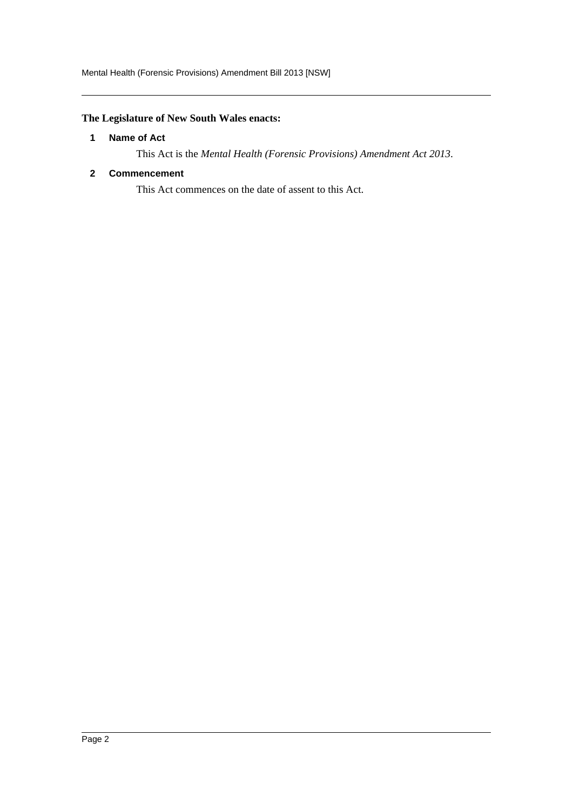### <span id="page-2-0"></span>**The Legislature of New South Wales enacts:**

#### **1 Name of Act**

This Act is the *Mental Health (Forensic Provisions) Amendment Act 2013*.

#### <span id="page-2-1"></span>**2 Commencement**

This Act commences on the date of assent to this Act.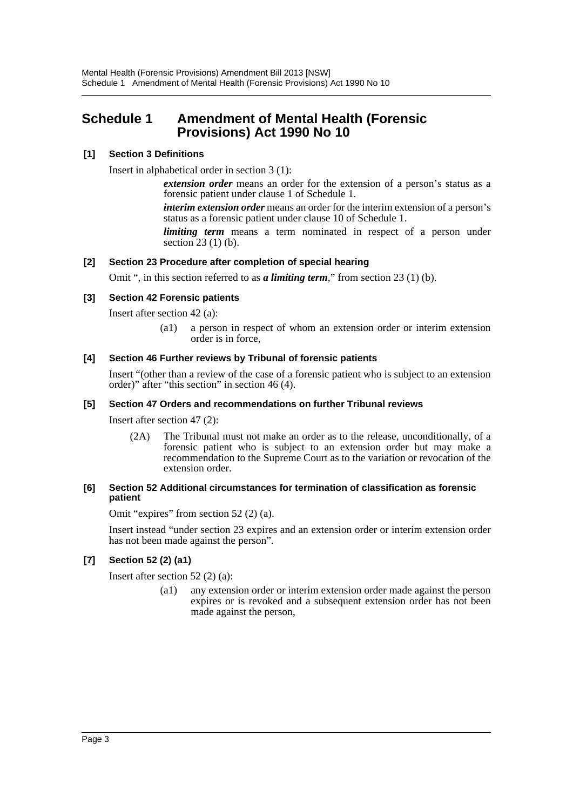### <span id="page-3-0"></span>**Schedule 1 Amendment of Mental Health (Forensic Provisions) Act 1990 No 10**

#### **[1] Section 3 Definitions**

Insert in alphabetical order in section 3 (1):

*extension order* means an order for the extension of a person's status as a forensic patient under clause 1 of Schedule 1.

*interim extension order* means an order for the interim extension of a person's status as a forensic patient under clause 10 of Schedule 1.

*limiting term* means a term nominated in respect of a person under section 23 (1) (b).

#### **[2] Section 23 Procedure after completion of special hearing**

Omit ", in this section referred to as *a limiting term*," from section 23 (1) (b).

#### **[3] Section 42 Forensic patients**

Insert after section 42 (a):

(a1) a person in respect of whom an extension order or interim extension order is in force,

#### **[4] Section 46 Further reviews by Tribunal of forensic patients**

Insert "(other than a review of the case of a forensic patient who is subject to an extension order)" after "this section" in section 46 (4).

#### **[5] Section 47 Orders and recommendations on further Tribunal reviews**

Insert after section 47 (2):

(2A) The Tribunal must not make an order as to the release, unconditionally, of a forensic patient who is subject to an extension order but may make a recommendation to the Supreme Court as to the variation or revocation of the extension order.

#### **[6] Section 52 Additional circumstances for termination of classification as forensic patient**

Omit "expires" from section 52 (2) (a).

Insert instead "under section 23 expires and an extension order or interim extension order has not been made against the person".

#### **[7] Section 52 (2) (a1)**

Insert after section 52 (2) (a):

(a1) any extension order or interim extension order made against the person expires or is revoked and a subsequent extension order has not been made against the person,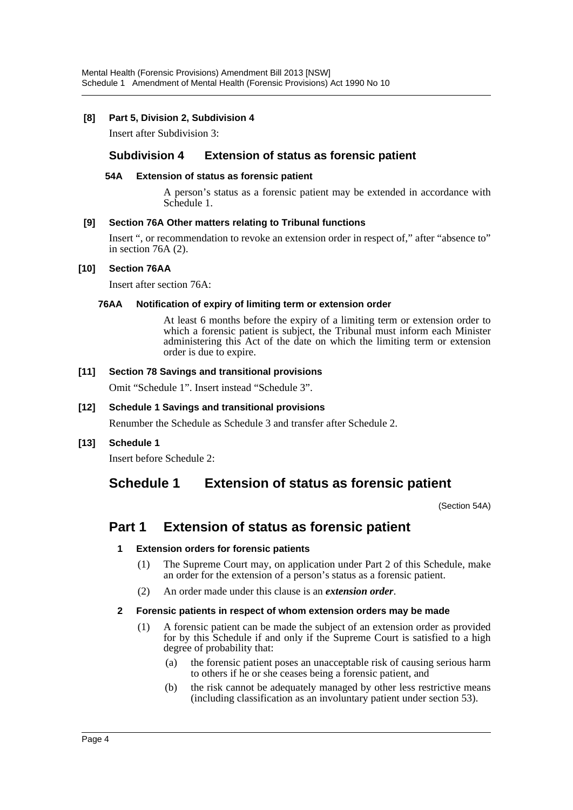#### **[8] Part 5, Division 2, Subdivision 4**

Insert after Subdivision 3:

#### **Subdivision 4 Extension of status as forensic patient**

#### **54A Extension of status as forensic patient**

A person's status as a forensic patient may be extended in accordance with Schedule 1.

#### **[9] Section 76A Other matters relating to Tribunal functions**

Insert ", or recommendation to revoke an extension order in respect of," after "absence to" in section 76A (2).

#### **[10] Section 76AA**

Insert after section 76A:

#### **76AA Notification of expiry of limiting term or extension order**

At least 6 months before the expiry of a limiting term or extension order to which a forensic patient is subject, the Tribunal must inform each Minister administering this Act of the date on which the limiting term or extension order is due to expire.

#### **[11] Section 78 Savings and transitional provisions**

Omit "Schedule 1". Insert instead "Schedule 3".

#### **[12] Schedule 1 Savings and transitional provisions**

Renumber the Schedule as Schedule 3 and transfer after Schedule 2.

#### **[13] Schedule 1**

Insert before Schedule 2:

## **Schedule 1 Extension of status as forensic patient**

(Section 54A)

## **Part 1 Extension of status as forensic patient**

#### **1 Extension orders for forensic patients**

- (1) The Supreme Court may, on application under Part 2 of this Schedule, make an order for the extension of a person's status as a forensic patient.
- (2) An order made under this clause is an *extension order*.

#### **2 Forensic patients in respect of whom extension orders may be made**

- (1) A forensic patient can be made the subject of an extension order as provided for by this Schedule if and only if the Supreme Court is satisfied to a high degree of probability that:
	- (a) the forensic patient poses an unacceptable risk of causing serious harm to others if he or she ceases being a forensic patient, and
	- (b) the risk cannot be adequately managed by other less restrictive means (including classification as an involuntary patient under section 53).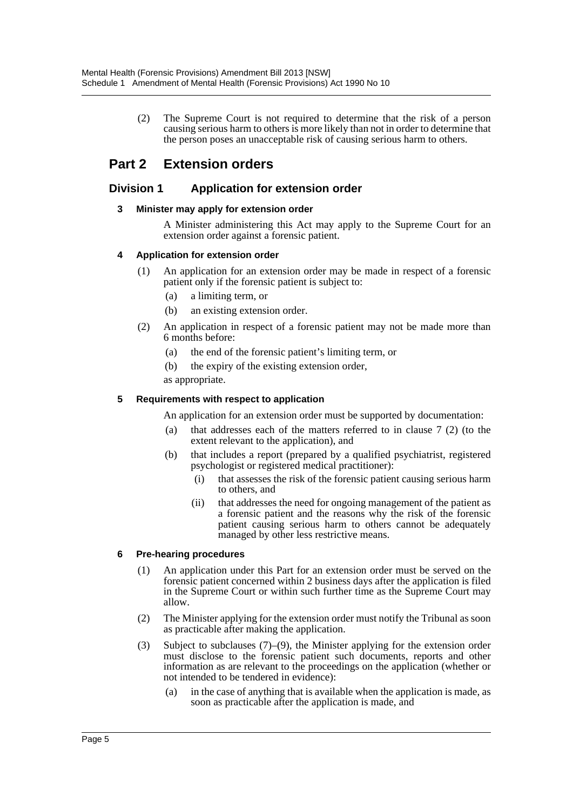(2) The Supreme Court is not required to determine that the risk of a person causing serious harm to others is more likely than not in order to determine that the person poses an unacceptable risk of causing serious harm to others.

## **Part 2 Extension orders**

#### **Division 1 Application for extension order**

#### **3 Minister may apply for extension order**

A Minister administering this Act may apply to the Supreme Court for an extension order against a forensic patient.

#### **4 Application for extension order**

- (1) An application for an extension order may be made in respect of a forensic patient only if the forensic patient is subject to:
	- (a) a limiting term, or
	- (b) an existing extension order.
- (2) An application in respect of a forensic patient may not be made more than 6 months before:
	- (a) the end of the forensic patient's limiting term, or
	- (b) the expiry of the existing extension order,

as appropriate.

#### **5 Requirements with respect to application**

An application for an extension order must be supported by documentation:

- (a) that addresses each of the matters referred to in clause 7 (2) (to the extent relevant to the application), and
- (b) that includes a report (prepared by a qualified psychiatrist, registered psychologist or registered medical practitioner):
	- (i) that assesses the risk of the forensic patient causing serious harm to others, and
	- (ii) that addresses the need for ongoing management of the patient as a forensic patient and the reasons why the risk of the forensic patient causing serious harm to others cannot be adequately managed by other less restrictive means.

#### **6 Pre-hearing procedures**

- (1) An application under this Part for an extension order must be served on the forensic patient concerned within 2 business days after the application is filed in the Supreme Court or within such further time as the Supreme Court may allow.
- (2) The Minister applying for the extension order must notify the Tribunal as soon as practicable after making the application.
- (3) Subject to subclauses (7)–(9), the Minister applying for the extension order must disclose to the forensic patient such documents, reports and other information as are relevant to the proceedings on the application (whether or not intended to be tendered in evidence):
	- (a) in the case of anything that is available when the application is made, as soon as practicable after the application is made, and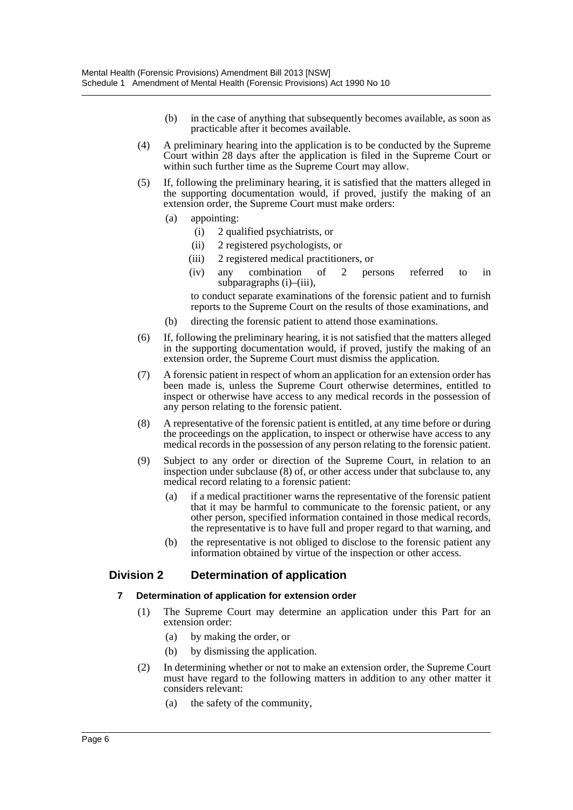- (b) in the case of anything that subsequently becomes available, as soon as practicable after it becomes available.
- (4) A preliminary hearing into the application is to be conducted by the Supreme Court within 28 days after the application is filed in the Supreme Court or within such further time as the Supreme Court may allow.
- (5) If, following the preliminary hearing, it is satisfied that the matters alleged in the supporting documentation would, if proved, justify the making of an extension order, the Supreme Court must make orders:
	- (a) appointing:
		- (i) 2 qualified psychiatrists, or
		- (ii) 2 registered psychologists, or
		- (iii) 2 registered medical practitioners, or
		- (iv) any combination of 2 persons referred to in subparagraphs (i)–(iii),

to conduct separate examinations of the forensic patient and to furnish reports to the Supreme Court on the results of those examinations, and

- (b) directing the forensic patient to attend those examinations.
- (6) If, following the preliminary hearing, it is not satisfied that the matters alleged in the supporting documentation would, if proved, justify the making of an extension order, the Supreme Court must dismiss the application.
- (7) A forensic patient in respect of whom an application for an extension order has been made is, unless the Supreme Court otherwise determines, entitled to inspect or otherwise have access to any medical records in the possession of any person relating to the forensic patient.
- (8) A representative of the forensic patient is entitled, at any time before or during the proceedings on the application, to inspect or otherwise have access to any medical records in the possession of any person relating to the forensic patient.
- (9) Subject to any order or direction of the Supreme Court, in relation to an inspection under subclause (8) of, or other access under that subclause to, any medical record relating to a forensic patient:
	- (a) if a medical practitioner warns the representative of the forensic patient that it may be harmful to communicate to the forensic patient, or any other person, specified information contained in those medical records, the representative is to have full and proper regard to that warning, and
	- (b) the representative is not obliged to disclose to the forensic patient any information obtained by virtue of the inspection or other access.

#### **Division 2 Determination of application**

#### **7 Determination of application for extension order**

- (1) The Supreme Court may determine an application under this Part for an extension order:
	- (a) by making the order, or
	- (b) by dismissing the application.
- (2) In determining whether or not to make an extension order, the Supreme Court must have regard to the following matters in addition to any other matter it considers relevant:
	- (a) the safety of the community,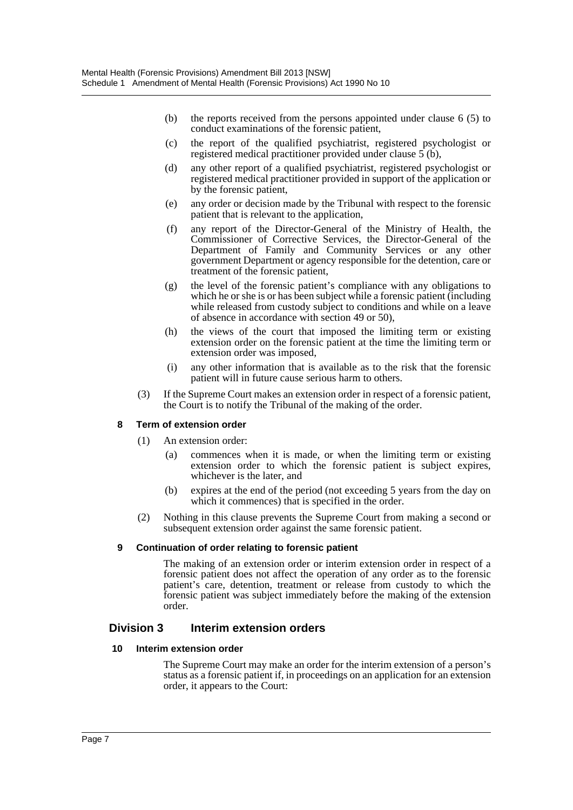- (b) the reports received from the persons appointed under clause 6 (5) to conduct examinations of the forensic patient,
- (c) the report of the qualified psychiatrist, registered psychologist or registered medical practitioner provided under clause  $\vec{5}$  (b),
- (d) any other report of a qualified psychiatrist, registered psychologist or registered medical practitioner provided in support of the application or by the forensic patient,
- (e) any order or decision made by the Tribunal with respect to the forensic patient that is relevant to the application,
- (f) any report of the Director-General of the Ministry of Health, the Commissioner of Corrective Services, the Director-General of the Department of Family and Community Services or any other government Department or agency responsible for the detention, care or treatment of the forensic patient,
- (g) the level of the forensic patient's compliance with any obligations to which he or she is or has been subject while a forensic patient (including while released from custody subject to conditions and while on a leave of absence in accordance with section 49 or 50),
- (h) the views of the court that imposed the limiting term or existing extension order on the forensic patient at the time the limiting term or extension order was imposed,
- (i) any other information that is available as to the risk that the forensic patient will in future cause serious harm to others.
- (3) If the Supreme Court makes an extension order in respect of a forensic patient, the Court is to notify the Tribunal of the making of the order.

#### **8 Term of extension order**

- (1) An extension order:
	- (a) commences when it is made, or when the limiting term or existing extension order to which the forensic patient is subject expires, whichever is the later, and
	- (b) expires at the end of the period (not exceeding 5 years from the day on which it commences) that is specified in the order.
- (2) Nothing in this clause prevents the Supreme Court from making a second or subsequent extension order against the same forensic patient.

#### **9 Continuation of order relating to forensic patient**

The making of an extension order or interim extension order in respect of a forensic patient does not affect the operation of any order as to the forensic patient's care, detention, treatment or release from custody to which the forensic patient was subject immediately before the making of the extension order.

#### **Division 3 Interim extension orders**

#### **10 Interim extension order**

The Supreme Court may make an order for the interim extension of a person's status as a forensic patient if, in proceedings on an application for an extension order, it appears to the Court: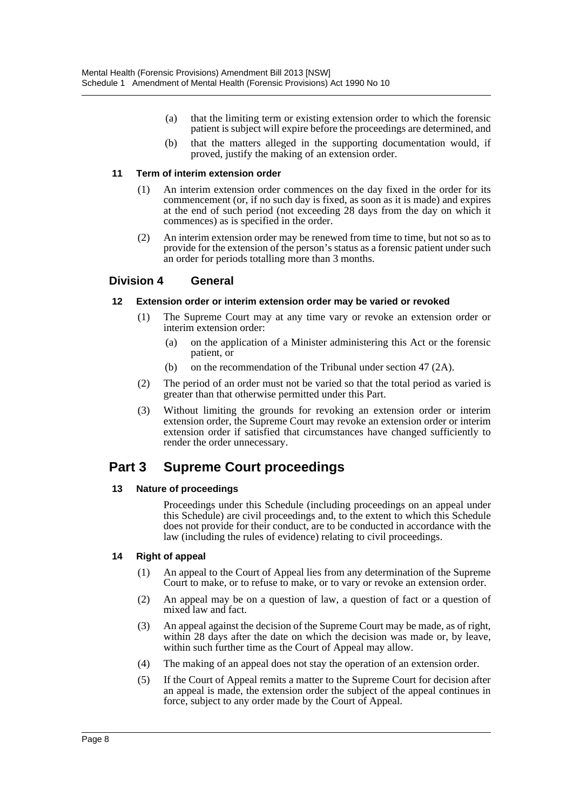- (a) that the limiting term or existing extension order to which the forensic patient is subject will expire before the proceedings are determined, and
- (b) that the matters alleged in the supporting documentation would, if proved, justify the making of an extension order.

#### **11 Term of interim extension order**

- (1) An interim extension order commences on the day fixed in the order for its commencement (or, if no such day is fixed, as soon as it is made) and expires at the end of such period (not exceeding 28 days from the day on which it commences) as is specified in the order.
- (2) An interim extension order may be renewed from time to time, but not so as to provide for the extension of the person's status as a forensic patient under such an order for periods totalling more than 3 months.

#### **Division 4 General**

#### **12 Extension order or interim extension order may be varied or revoked**

- (1) The Supreme Court may at any time vary or revoke an extension order or interim extension order:
	- (a) on the application of a Minister administering this Act or the forensic patient, or
	- (b) on the recommendation of the Tribunal under section 47 (2A).
- (2) The period of an order must not be varied so that the total period as varied is greater than that otherwise permitted under this Part.
- (3) Without limiting the grounds for revoking an extension order or interim extension order, the Supreme Court may revoke an extension order or interim extension order if satisfied that circumstances have changed sufficiently to render the order unnecessary.

## **Part 3 Supreme Court proceedings**

#### **13 Nature of proceedings**

Proceedings under this Schedule (including proceedings on an appeal under this Schedule) are civil proceedings and, to the extent to which this Schedule does not provide for their conduct, are to be conducted in accordance with the law (including the rules of evidence) relating to civil proceedings.

#### **14 Right of appeal**

- (1) An appeal to the Court of Appeal lies from any determination of the Supreme Court to make, or to refuse to make, or to vary or revoke an extension order.
- (2) An appeal may be on a question of law, a question of fact or a question of mixed law and fact.
- (3) An appeal against the decision of the Supreme Court may be made, as of right, within 28 days after the date on which the decision was made or, by leave, within such further time as the Court of Appeal may allow.
- (4) The making of an appeal does not stay the operation of an extension order.
- (5) If the Court of Appeal remits a matter to the Supreme Court for decision after an appeal is made, the extension order the subject of the appeal continues in force, subject to any order made by the Court of Appeal.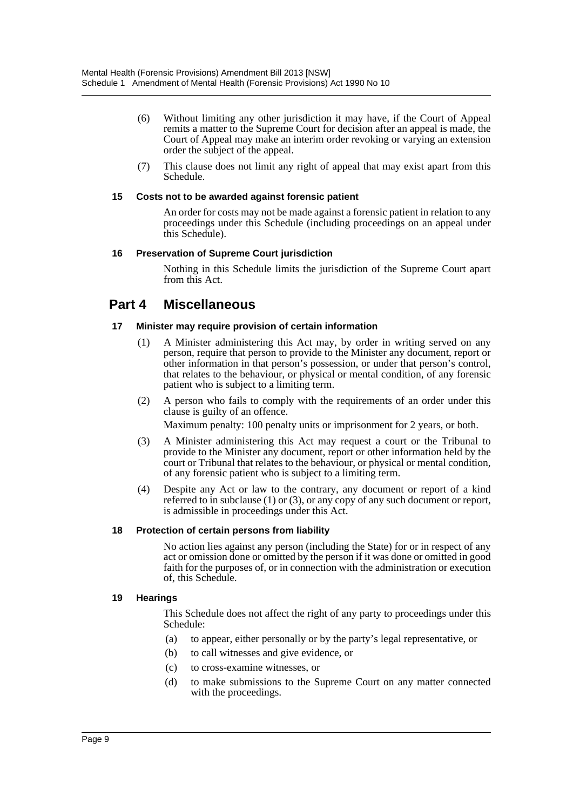- (6) Without limiting any other jurisdiction it may have, if the Court of Appeal remits a matter to the Supreme Court for decision after an appeal is made, the Court of Appeal may make an interim order revoking or varying an extension order the subject of the appeal.
- (7) This clause does not limit any right of appeal that may exist apart from this Schedule.

#### **15 Costs not to be awarded against forensic patient**

An order for costs may not be made against a forensic patient in relation to any proceedings under this Schedule (including proceedings on an appeal under this Schedule).

#### **16 Preservation of Supreme Court jurisdiction**

Nothing in this Schedule limits the jurisdiction of the Supreme Court apart from this Act.

### **Part 4 Miscellaneous**

#### **17 Minister may require provision of certain information**

- (1) A Minister administering this Act may, by order in writing served on any person, require that person to provide to the Minister any document, report or other information in that person's possession, or under that person's control, that relates to the behaviour, or physical or mental condition, of any forensic patient who is subject to a limiting term.
- (2) A person who fails to comply with the requirements of an order under this clause is guilty of an offence.

Maximum penalty: 100 penalty units or imprisonment for 2 years, or both.

- (3) A Minister administering this Act may request a court or the Tribunal to provide to the Minister any document, report or other information held by the court or Tribunal that relates to the behaviour, or physical or mental condition, of any forensic patient who is subject to a limiting term.
- (4) Despite any Act or law to the contrary, any document or report of a kind referred to in subclause (1) or (3), or any copy of any such document or report, is admissible in proceedings under this Act.

#### **18 Protection of certain persons from liability**

No action lies against any person (including the State) for or in respect of any act or omission done or omitted by the person if it was done or omitted in good faith for the purposes of, or in connection with the administration or execution of, this Schedule.

#### **19 Hearings**

This Schedule does not affect the right of any party to proceedings under this Schedule:

- (a) to appear, either personally or by the party's legal representative, or
- (b) to call witnesses and give evidence, or
- (c) to cross-examine witnesses, or
- (d) to make submissions to the Supreme Court on any matter connected with the proceedings.